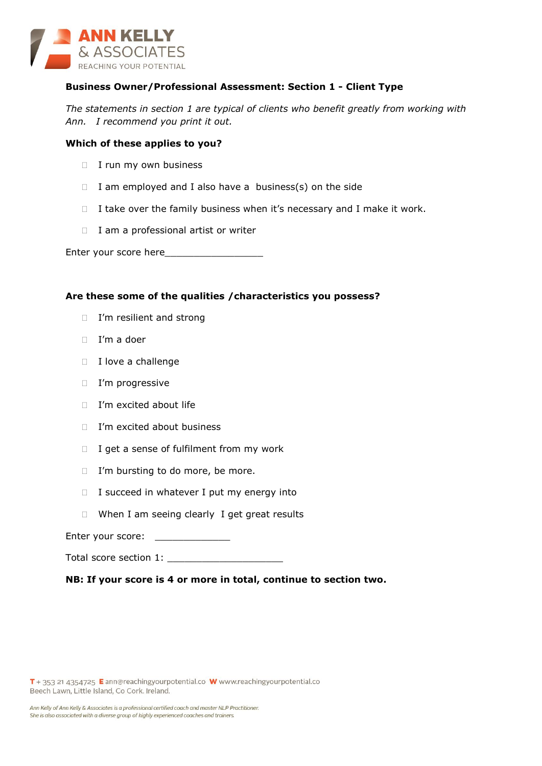

# **Business Owner/Professional Assessment: Section 1 - Client Type**

*The statements in section 1 are typical of clients who benefit greatly from working with Ann. I recommend you print it out.*

## **Which of these applies to you?**

- $\Box$  I run my own business
- $\Box$  I am employed and I also have a business(s) on the side
- $\Box$  I take over the family business when it's necessary and I make it work.
- $\Box$  I am a professional artist or writer

Enter your score here

## **Are these some of the qualities /characteristics you possess?**

- □ I'm resilient and strong
- $\Box$  I'm a doer
- $\Box$  I love a challenge
- □ I'm progressive
- □ I'm excited about life
- □ I'm excited about business
- $\Box$  I get a sense of fulfilment from my work
- □ I'm bursting to do more, be more.
- $\Box$  I succeed in whatever I put my energy into
- $\Box$  When I am seeing clearly I get great results

Enter your score: \_\_\_\_\_\_\_\_\_\_\_\_\_\_\_\_

Total score section 1: \_\_\_\_\_\_\_\_\_\_\_\_\_\_\_\_\_\_\_\_

**NB: If your score is 4 or more in total, continue to section two.**

T + 353 21 4354725 E ann@reachingyourpotential.co W www.reachingyourpotential.co Beech Lawn, Little Island, Co Cork. Ireland.

Ann Kelly of Ann Kelly & Associates is a professional certified coach and master NLP Practitioner. She is also associated with a diverse group of highly experienced coaches and trainers.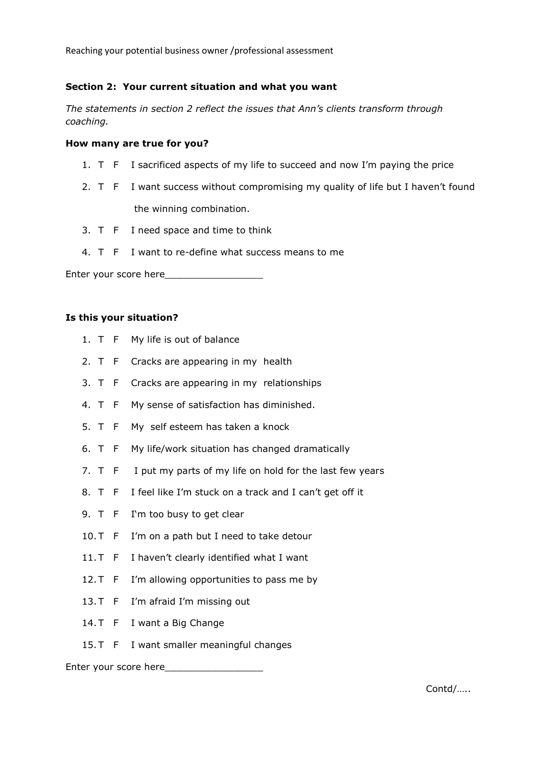Reaching your potential business owner /professional assessment

# **Section 2: Your current situation and what you want**

*The statements in section 2 reflect the issues that Ann's clients transform through coaching.* 

## **How many are true for you?**

- 1. T F I sacrificed aspects of my life to succeed and now I'm paying the price
- 2. T F I want success without compromising my quality of life but I haven't found the winning combination.
- 3. T F I need space and time to think
- 4. T F I want to re-define what success means to me

Enter your score here\_\_\_\_\_\_\_\_\_\_\_\_\_\_\_\_\_

## **Is this your situation?**

- 1. T F My life is out of balance
- 2. T F Cracks are appearing in my health
- 3. T F Cracks are appearing in my relationships
- 4. T F My sense of satisfaction has diminished.
- 5. T F My self esteem has taken a knock
- 6. T F My life/work situation has changed dramatically
- 7. T F I put my parts of my life on hold for the last few years
- 8. T F I feel like I'm stuck on a track and I can't get off it
- 9. T F I'm too busy to get clear
- 10. T F I'm on a path but I need to take detour
- 11. T F I haven't clearly identified what I want
- 12. T F I'm allowing opportunities to pass me by
- 13. T F I'm afraid I'm missing out
- 14. T F I want a Big Change
- 15. T F I want smaller meaningful changes

#### Enter your score here\_\_\_\_\_\_\_\_\_\_\_\_\_\_\_\_\_

Contd/…..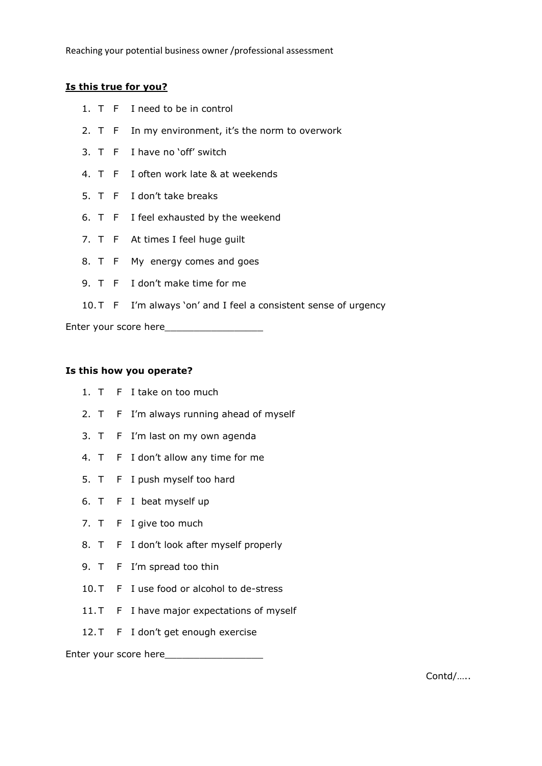# **Is this true for you?**

- 1. T F I need to be in control
- 2. T F In my environment, it's the norm to overwork
- 3. T F I have no 'off' switch
- 4. T F I often work late & at weekends
- 5. T F I don't take breaks
- 6. T F I feel exhausted by the weekend
- 7. T F At times I feel huge guilt
- 8. T F My energy comes and goes
- 9. T F I don't make time for me
- 10. T F I'm always 'on' and I feel a consistent sense of urgency

Enter your score here\_\_\_\_\_\_\_\_\_\_\_\_\_\_\_\_\_

## **Is this how you operate?**

- 1. T F I take on too much
- 2. T F I'm always running ahead of myself
- 3. T F I'm last on my own agenda
- 4. T F I don't allow any time for me
- 5. T F I push myself too hard
- 6. T F I beat myself up
- 7. T F I give too much
- 8. T F I don't look after myself properly
- 9. T F I'm spread too thin
- 10. T F I use food or alcohol to de-stress
- 11. T F I have major expectations of myself
- 12. T F I don't get enough exercise

Enter your score here\_\_\_\_\_\_\_\_\_\_\_\_\_\_\_\_\_

Contd/…..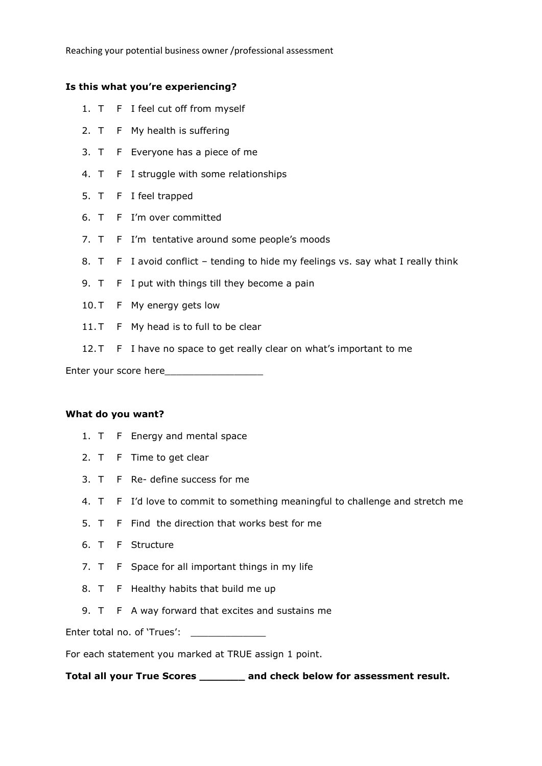Reaching your potential business owner /professional assessment

# **Is this what you're experiencing?**

- 1. T F I feel cut off from myself
- 2. T F My health is suffering
- 3. T F Everyone has a piece of me
- 4. T F I struggle with some relationships
- 5. T F I feel trapped
- 6. T F I'm over committed
- 7. T F I'm tentative around some people's moods
- 8. T F I avoid conflict tending to hide my feelings vs. say what I really think
- 9. T F I put with things till they become a pain
- 10. T F My energy gets low
- 11. T F My head is to full to be clear
- 12. T F I have no space to get really clear on what's important to me

Enter your score here\_\_\_\_\_\_\_\_\_\_\_\_\_\_\_\_\_

#### **What do you want?**

- 1. T F Energy and mental space
- 2. T F Time to get clear
- 3. T F Re- define success for me
- 4. T F I'd love to commit to something meaningful to challenge and stretch me
- 5. T F Find the direction that works best for me
- 6. T F Structure
- 7. T F Space for all important things in my life
- 8. T F Healthy habits that build me up
- 9. T F A way forward that excites and sustains me

Enter total no. of 'Trues':

For each statement you marked at TRUE assign 1 point.

**Total all your True Scores \_\_\_\_\_\_\_ and check below for assessment result.**